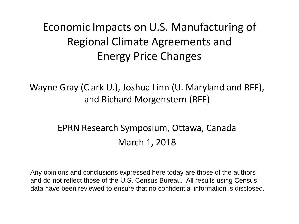### Economic Impacts on U.S. Manufacturing of Regional Climate Agreements and Energy Price Changes

Wayne Gray (Clark U.), Joshua Linn (U. Maryland and RFF), and Richard Morgenstern (RFF)

#### EPRN Research Symposium, Ottawa, Canada March 1, 2018

Any opinions and conclusions expressed here today are those of the authors and do not reflect those of the U.S. Census Bureau. All results using Census data have been reviewed to ensure that no confidential information is disclosed.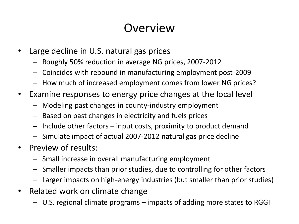### **Overview**

- Large decline in U.S. natural gas prices
	- Roughly 50% reduction in average NG prices, 2007-2012
	- Coincides with rebound in manufacturing employment post-2009
	- How much of increased employment comes from lower NG prices?
- Examine responses to energy price changes at the local level
	- Modeling past changes in county-industry employment
	- Based on past changes in electricity and fuels prices
	- Include other factors input costs, proximity to product demand
	- Simulate impact of actual 2007-2012 natural gas price decline
- Preview of results:
	- Small increase in overall manufacturing employment
	- Smaller impacts than prior studies, due to controlling for other factors
	- Larger impacts on high-energy industries (but smaller than prior studies)
- Related work on climate change
	- U.S. regional climate programs impacts of adding more states to RGGI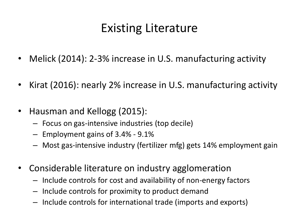# Existing Literature

- Melick (2014): 2-3% increase in U.S. manufacturing activity
- Kirat (2016): nearly 2% increase in U.S. manufacturing activity
- Hausman and Kellogg (2015):
	- Focus on gas-intensive industries (top decile)
	- Employment gains of 3.4% 9.1%
	- Most gas-intensive industry (fertilizer mfg) gets 14% employment gain
- Considerable literature on industry agglomeration
	- Include controls for cost and availability of non-energy factors
	- Include controls for proximity to product demand
	- Include controls for international trade (imports and exports)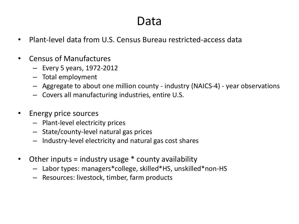#### Data

- Plant-level data from U.S. Census Bureau restricted-access data
- Census of Manufactures
	- Every 5 years, 1972-2012
	- Total employment
	- Aggregate to about one million county industry (NAICS-4) year observations
	- Covers all manufacturing industries, entire U.S.
- Energy price sources
	- Plant-level electricity prices
	- State/county-level natural gas prices
	- Industry-level electricity and natural gas cost shares
- Other inputs = industry usage \* county availability
	- Labor types: managers\*college, skilled\*HS, unskilled\*non-HS
	- Resources: livestock, timber, farm products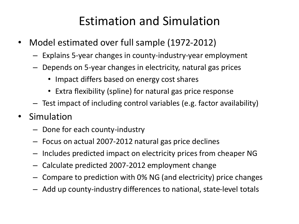# Estimation and Simulation

- Model estimated over full sample (1972-2012)
	- Explains 5-year changes in county-industry-year employment
	- Depends on 5-year changes in electricity, natural gas prices
		- Impact differs based on energy cost shares
		- Extra flexibility (spline) for natural gas price response
	- Test impact of including control variables (e.g. factor availability)
- Simulation
	- Done for each county-industry
	- Focus on actual 2007-2012 natural gas price declines
	- Includes predicted impact on electricity prices from cheaper NG
	- Calculate predicted 2007-2012 employment change
	- Compare to prediction with 0% NG (and electricity) price changes
	- Add up county-industry differences to national, state-level totals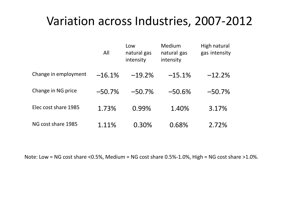### Variation across Industries, 2007-2012

|                      | All      | Low<br>natural gas<br>intensity | Medium<br>natural gas<br>intensity | High natural<br>gas intensity |
|----------------------|----------|---------------------------------|------------------------------------|-------------------------------|
| Change in employment | $-16.1%$ | $-19.2%$                        | $-15.1%$                           | $-12.2%$                      |
| Change in NG price   | $-50.7%$ | $-50.7%$                        | $-50.6%$                           | $-50.7%$                      |
| Elec cost share 1985 | 1.73%    | 0.99%                           | 1.40%                              | 3.17%                         |
| NG cost share 1985   | 1.11%    | 0.30%                           | 0.68%                              | 2.72%                         |

Note: Low = NG cost share <0.5%, Medium = NG cost share 0.5%-1.0%, High = NG cost share >1.0%.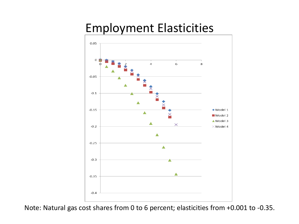### Employment Elasticities



Note: Natural gas cost shares from 0 to 6 percent; elasticities from +0.001 to -0.35.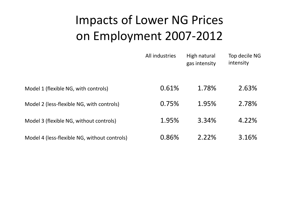# Impacts of Lower NG Prices on Employment 2007-2012

|                                              | All industries | High natural<br>gas intensity | Top decile NG<br>intensity |
|----------------------------------------------|----------------|-------------------------------|----------------------------|
| Model 1 (flexible NG, with controls)         | 0.61%          | 1.78%                         | 2.63%                      |
| Model 2 (less-flexible NG, with controls)    | 0.75%          | 1.95%                         | 2.78%                      |
| Model 3 (flexible NG, without controls)      | 1.95%          | 3.34%                         | 4.22%                      |
| Model 4 (less-flexible NG, without controls) | 0.86%          | 2.22%                         | 3.16%                      |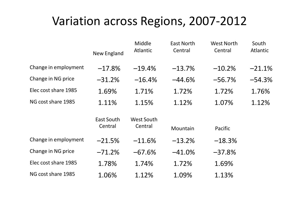#### Variation across Regions, 2007-2012

|                      | New England           | Middle<br>Atlantic    | East North<br>Central | <b>West North</b><br>Central | South<br>Atlantic |
|----------------------|-----------------------|-----------------------|-----------------------|------------------------------|-------------------|
| Change in employment | $-17.8%$              | $-19.4%$              | $-13.7%$              | $-10.2%$                     | $-21.1%$          |
| Change in NG price   | $-31.2%$              | $-16.4%$              | $-44.6\%$             | $-56.7%$                     | $-54.3%$          |
| Elec cost share 1985 | 1.69%                 | 1.71%                 | 1.72%                 | 1.72%                        | 1.76%             |
| NG cost share 1985   | 1.11%                 | 1.15%                 | 1.12%                 | 1.07%                        | 1.12%             |
|                      | East South<br>Central | West South<br>Central | Mountain              | Pacific                      |                   |
| Change in employment | $-21.5%$              | $-11.6%$              | $-13.2%$              | $-18.3%$                     |                   |
| Change in NG price   | $-71.2%$              | $-67.6%$              | $-41.0\%$             | $-37.8%$                     |                   |
| Elec cost share 1985 | 1.78%                 | 1.74%                 | 1.72%                 | 1.69%                        |                   |
| NG cost share 1985   | 1.06%                 | 1.12%                 | 1.09%                 | 1.13%                        |                   |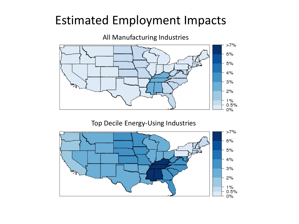### Estimated Employment Impacts



Top Decile Energy-Using Industries

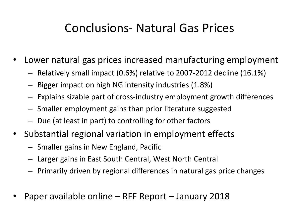### Conclusions- Natural Gas Prices

- Lower natural gas prices increased manufacturing employment
	- Relatively small impact (0.6%) relative to 2007-2012 decline (16.1%)
	- Bigger impact on high NG intensity industries (1.8%)
	- Explains sizable part of cross-industry employment growth differences
	- Smaller employment gains than prior literature suggested
	- Due (at least in part) to controlling for other factors
- Substantial regional variation in employment effects
	- Smaller gains in New England, Pacific
	- Larger gains in East South Central, West North Central
	- Primarily driven by regional differences in natural gas price changes
- Paper available online RFF Report January 2018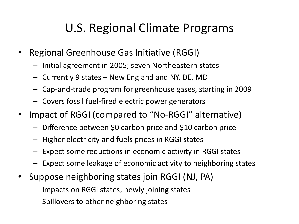# U.S. Regional Climate Programs

- Regional Greenhouse Gas Initiative (RGGI)
	- Initial agreement in 2005; seven Northeastern states
	- Currently 9 states New England and NY, DE, MD
	- Cap-and-trade program for greenhouse gases, starting in 2009
	- Covers fossil fuel-fired electric power generators
- Impact of RGGI (compared to "No-RGGI" alternative)
	- Difference between \$0 carbon price and \$10 carbon price
	- Higher electricity and fuels prices in RGGI states
	- Expect some reductions in economic activity in RGGI states
	- Expect some leakage of economic activity to neighboring states
- Suppose neighboring states join RGGI (NJ, PA)
	- Impacts on RGGI states, newly joining states
	- Spillovers to other neighboring states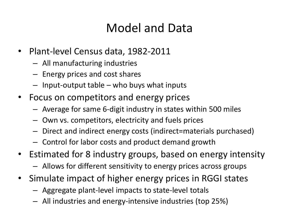# Model and Data

- Plant-level Census data, 1982-2011
	- All manufacturing industries
	- Energy prices and cost shares
	- Input-output table who buys what inputs
- Focus on competitors and energy prices
	- Average for same 6-digit industry in states within 500 miles
	- Own vs. competitors, electricity and fuels prices
	- Direct and indirect energy costs (indirect=materials purchased)
	- Control for labor costs and product demand growth
- Estimated for 8 industry groups, based on energy intensity
	- Allows for different sensitivity to energy prices across groups
- Simulate impact of higher energy prices in RGGI states
	- Aggregate plant-level impacts to state-level totals
	- All industries and energy-intensive industries (top 25%)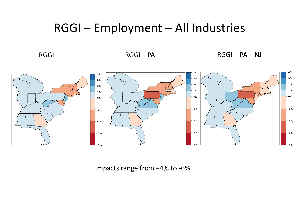#### RGGI – Employment – All Industries

RGGI RGGI + PA RGGI + PA RGGI + PA + NJ



Impacts range from +4% to -6%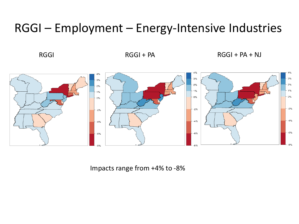#### RGGI – Employment – Energy-Intensive Industries

RGGI RGGI + PA RGGI + PA RGGI + PA + NJ



Impacts range from +4% to -8%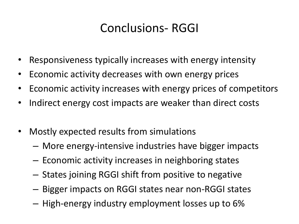# Conclusions- RGGI

- Responsiveness typically increases with energy intensity
- Economic activity decreases with own energy prices
- Economic activity increases with energy prices of competitors
- Indirect energy cost impacts are weaker than direct costs
- Mostly expected results from simulations
	- More energy-intensive industries have bigger impacts
	- Economic activity increases in neighboring states
	- States joining RGGI shift from positive to negative
	- Bigger impacts on RGGI states near non-RGGI states
	- High-energy industry employment losses up to 6%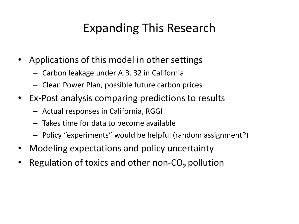# Expanding This Research

- Applications of this model in other settings
	- Carbon leakage under A.B. 32 in California
	- Clean Power Plan, possible future carbon prices
- Ex-Post analysis comparing predictions to results
	- Actual responses in California, RGGI
	- Takes time for data to become available
	- Policy "experiments" would be helpful (random assignment?)
- Modeling expectations and policy uncertainty
- Regulation of toxics and other non- $CO<sub>2</sub>$  pollution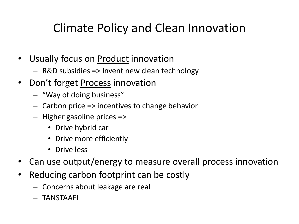# Climate Policy and Clean Innovation

- Usually focus on **Product** innovation
	- R&D subsidies => Invent new clean technology
- Don't forget Process innovation
	- "Way of doing business"
	- Carbon price => incentives to change behavior
	- Higher gasoline prices =>
		- Drive hybrid car
		- Drive more efficiently
		- Drive less
- Can use output/energy to measure overall process innovation
- Reducing carbon footprint can be costly
	- Concerns about leakage are real
	- TANSTAAFL